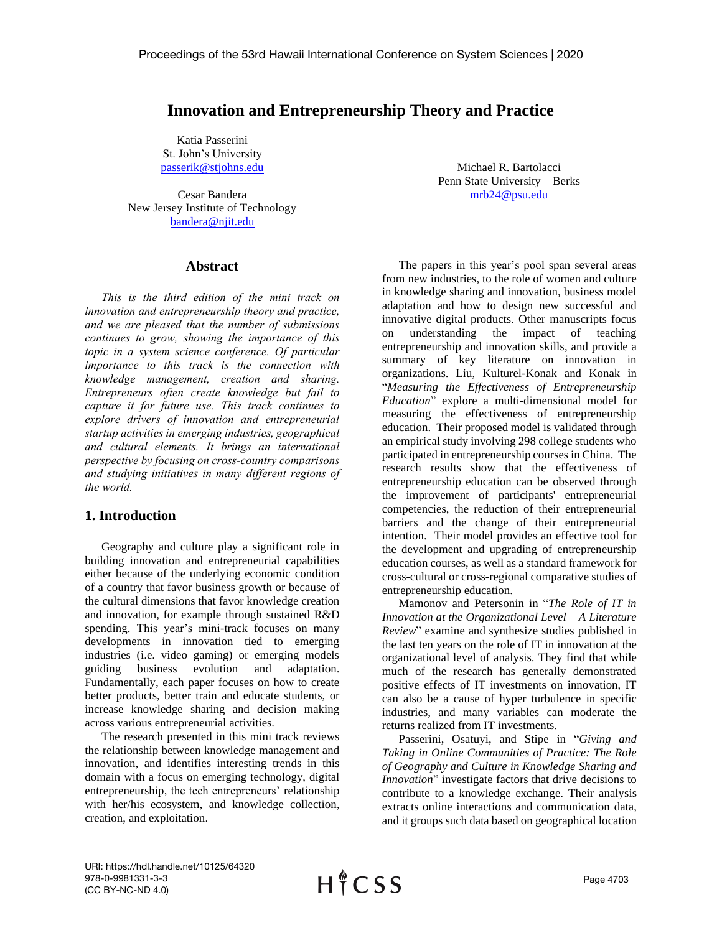## **Innovation and Entrepreneurship Theory and Practice**

Katia Passerini St. John's University [passerik@stjohns.edu](mailto:passerik@stjohns.edu)

Cesar Bandera New Jersey Institute of Technology [bandera@njit.edu](mailto:bandera@njit.edu)

## **Abstract**

*This is the third edition of the mini track on innovation and entrepreneurship theory and practice, and we are pleased that the number of submissions continues to grow, showing the importance of this topic in a system science conference. Of particular importance to this track is the connection with knowledge management, creation and sharing. Entrepreneurs often create knowledge but fail to capture it for future use. This track continues to explore drivers of innovation and entrepreneurial startup activities in emerging industries, geographical and cultural elements. It brings an international perspective by focusing on cross-country comparisons and studying initiatives in many different regions of the world.*

## **1. Introduction**

Geography and culture play a significant role in building innovation and entrepreneurial capabilities either because of the underlying economic condition of a country that favor business growth or because of the cultural dimensions that favor knowledge creation and innovation, for example through sustained R&D spending. This year's mini-track focuses on many developments in innovation tied to emerging industries (i.e. video gaming) or emerging models guiding business evolution and adaptation. Fundamentally, each paper focuses on how to create better products, better train and educate students, or increase knowledge sharing and decision making across various entrepreneurial activities.

The research presented in this mini track reviews the relationship between knowledge management and innovation, and identifies interesting trends in this domain with a focus on emerging technology, digital entrepreneurship, the tech entrepreneurs' relationship with her/his ecosystem, and knowledge collection, creation, and exploitation.

Michael R. Bartolacci Penn State University – Berks [mrb24@psu.edu](mailto:mrb24@psu.edu)

The papers in this year's pool span several areas from new industries, to the role of women and culture in knowledge sharing and innovation, business model adaptation and how to design new successful and innovative digital products. Other manuscripts focus on understanding the impact of teaching entrepreneurship and innovation skills, and provide a summary of key literature on innovation in organizations. Liu, Kulturel-Konak and Konak in "*Measuring the Effectiveness of Entrepreneurship Education*" explore a multi-dimensional model for measuring the effectiveness of entrepreneurship education. Their proposed model is validated through an empirical study involving 298 college students who participated in entrepreneurship courses in China. The research results show that the effectiveness of entrepreneurship education can be observed through the improvement of participants' entrepreneurial competencies, the reduction of their entrepreneurial barriers and the change of their entrepreneurial intention. Their model provides an effective tool for the development and upgrading of entrepreneurship education courses, as well as a standard framework for cross-cultural or cross-regional comparative studies of entrepreneurship education.

Mamonov and Petersonin in "*The Role of IT in Innovation at the Organizational Level – A Literature Review*" examine and synthesize studies published in the last ten years on the role of IT in innovation at the organizational level of analysis. They find that while much of the research has generally demonstrated positive effects of IT investments on innovation, IT can also be a cause of hyper turbulence in specific industries, and many variables can moderate the returns realized from IT investments.

Passerini, Osatuyi, and Stipe in "*Giving and Taking in Online Communities of Practice: The Role of Geography and Culture in Knowledge Sharing and Innovation*" investigate factors that drive decisions to contribute to a knowledge exchange. Their analysis extracts online interactions and communication data, and it groups such data based on geographical location

URI: https://hdl.handle.net/10125/64320 978-0-9981331-3-3 (CC BY-NC-ND 4.0)